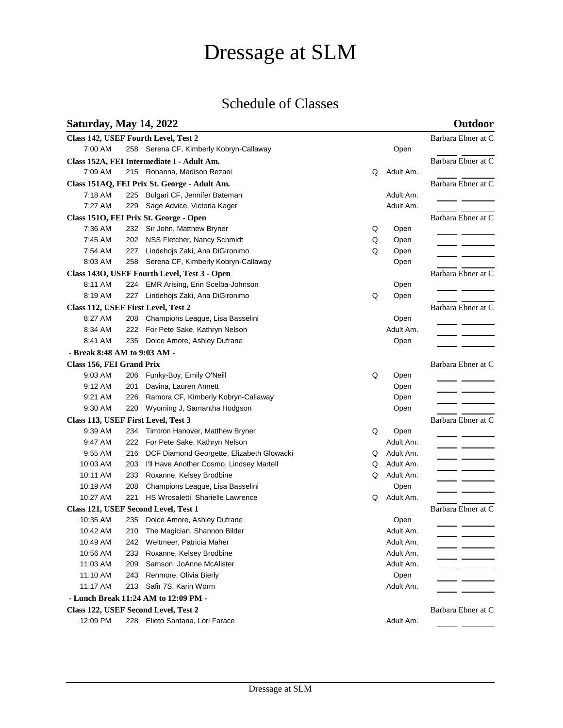# Dressage at SLM

## Schedule of Classes

### **Saturday, May 14, 2022 Outdoor**

| Class 142, USEF Fourth Level, Test 2                       | Barbara Ebner at C |                                           |   |           |                      |  |  |  |  |
|------------------------------------------------------------|--------------------|-------------------------------------------|---|-----------|----------------------|--|--|--|--|
| 7:00 AM                                                    |                    | 258 Serena CF, Kimberly Kobryn-Callaway   |   | Open      |                      |  |  |  |  |
| Class 152A, FEI Intermediate I - Adult Am.                 | Barbara Ebner at C |                                           |   |           |                      |  |  |  |  |
| 7:09 AM                                                    |                    | 215 Rohanna, Madison Rezaei               | Q | Adult Am. |                      |  |  |  |  |
| Class 151AQ, FEI Prix St. George - Adult Am.               | Barbara Ebner at C |                                           |   |           |                      |  |  |  |  |
| 7:18 AM                                                    |                    | 225 Bulgari CF, Jennifer Bateman          |   | Adult Am. |                      |  |  |  |  |
| 7:27 AM                                                    |                    | 229 Sage Advice, Victoria Kager           |   | Adult Am. |                      |  |  |  |  |
| Class 1510, FEI Prix St. George - Open                     | Barbara Ebner at C |                                           |   |           |                      |  |  |  |  |
| 7:36 AM                                                    |                    | 232 Sir John, Matthew Bryner              | Q | Open      |                      |  |  |  |  |
| 7:45 AM                                                    | 202                | NSS Fletcher, Nancy Schmidt               | Q | Open      |                      |  |  |  |  |
| 7:54 AM                                                    |                    | 227 Lindehojs Zaki, Ana DiGironimo        | Q | Open      | <u>and the state</u> |  |  |  |  |
| 8:03 AM                                                    | 258                | Serena CF, Kimberly Kobryn-Callaway       |   | Open      |                      |  |  |  |  |
| Class 143O, USEF Fourth Level, Test 3 - Open               | Barbara Ebner at C |                                           |   |           |                      |  |  |  |  |
| 8:11 AM                                                    |                    | 224 EMR Arising, Erin Scelba-Johnson      |   | Open      |                      |  |  |  |  |
| 8:19 AM                                                    | 227                | Lindehojs Zaki, Ana DiGironimo            | Q | Open      |                      |  |  |  |  |
| Class 112, USEF First Level, Test 2                        |                    |                                           |   |           | Barbara Ebner at C   |  |  |  |  |
| 8:27 AM                                                    | 208                | Champions League, Lisa Basselini          |   | Open      |                      |  |  |  |  |
| 8:34 AM                                                    | 222                | For Pete Sake, Kathryn Nelson             |   | Adult Am. |                      |  |  |  |  |
| 8:41 AM                                                    | 235                | Dolce Amore, Ashley Dufrane               |   | Open      |                      |  |  |  |  |
| - Break 8:48 AM to 9:03 AM -                               |                    |                                           |   |           |                      |  |  |  |  |
| Class 156, FEI Grand Prix                                  |                    |                                           |   |           | Barbara Ebner at C   |  |  |  |  |
| 9:03 AM                                                    | 206                | Funky-Boy, Emily O'Neill                  | Q | Open      |                      |  |  |  |  |
| 9:12 AM                                                    | 201                | Davina, Lauren Annett                     |   | Open      |                      |  |  |  |  |
| 9:21 AM                                                    | 226                | Ramora CF, Kimberly Kobryn-Callaway       |   | Open      |                      |  |  |  |  |
| 9:30 AM                                                    | 220                | Wyoming J, Samantha Hodgson               |   | Open      |                      |  |  |  |  |
| Class 113, USEF First Level, Test 3                        |                    |                                           |   |           | Barbara Ebner at C   |  |  |  |  |
| 9:39 AM                                                    | 234                | Timtron Hanover, Matthew Bryner           | Q | Open      |                      |  |  |  |  |
| 9:47 AM                                                    | 222                | For Pete Sake, Kathryn Nelson             |   | Adult Am. |                      |  |  |  |  |
| 9:55 AM                                                    | 216                | DCF Diamond Georgette, Elizabeth Glowacki | Q | Adult Am. |                      |  |  |  |  |
| 10:03 AM                                                   | 203                | I'll Have Another Cosmo, Lindsey Martell  | Q | Adult Am. |                      |  |  |  |  |
| 10:11 AM                                                   | 233                | Roxanne, Kelsey Brodbine                  | Q | Adult Am. |                      |  |  |  |  |
| 10:19 AM                                                   | 208                | Champions League, Lisa Basselini          |   | Open      |                      |  |  |  |  |
| 10:27 AM                                                   | 221                | HS Wrosaletti, Sharielle Lawrence         | Q | Adult Am. |                      |  |  |  |  |
| Class 121, USEF Second Level, Test 1                       | Barbara Ebner at C |                                           |   |           |                      |  |  |  |  |
| 10:35 AM                                                   | 235                | Dolce Amore, Ashley Dufrane               |   | Open      |                      |  |  |  |  |
| 10:42 AM                                                   |                    | 210 The Magician, Shannon Bilder          |   | Adult Am. |                      |  |  |  |  |
| 10:49 AM                                                   |                    | 242 Weltmeer, Patricia Maher              |   | Adult Am. |                      |  |  |  |  |
| 10:56 AM                                                   | 233                | Roxanne, Kelsey Brodbine                  |   | Adult Am. |                      |  |  |  |  |
| 11:03 AM                                                   | 209                | Samson, JoAnne McAlister                  |   | Adult Am. |                      |  |  |  |  |
| 11:10 AM                                                   | 243                | Renmore, Olivia Bierly                    |   | Open      |                      |  |  |  |  |
| 11:17 AM                                                   |                    | 213 Safir 7S, Karin Worm                  |   | Adult Am. |                      |  |  |  |  |
| - Lunch Break 11:24 AM to 12:09 PM -                       |                    |                                           |   |           |                      |  |  |  |  |
| Barbara Ebner at C<br>Class 122, USEF Second Level, Test 2 |                    |                                           |   |           |                      |  |  |  |  |
| 12:09 PM                                                   |                    | 228 Elieto Santana, Lori Farace           |   | Adult Am. |                      |  |  |  |  |
|                                                            |                    |                                           |   |           |                      |  |  |  |  |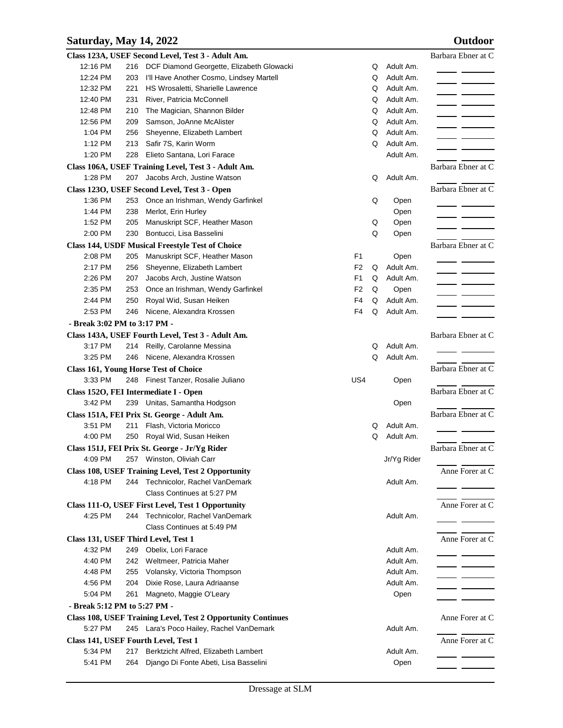### **Saturday, May 14, 2022 Outdoor**

| 12:16 PM<br>Adult Am.<br>DCF Diamond Georgette, Elizabeth Glowacki<br>Q<br>216<br>Adult Am.<br>12:24 PM<br>I'll Have Another Cosmo, Lindsey Martell<br>Q<br>203 |                    |  |  |  |  |  |  |  |  |
|-----------------------------------------------------------------------------------------------------------------------------------------------------------------|--------------------|--|--|--|--|--|--|--|--|
|                                                                                                                                                                 |                    |  |  |  |  |  |  |  |  |
|                                                                                                                                                                 |                    |  |  |  |  |  |  |  |  |
| Adult Am.<br>12:32 PM<br>221<br>HS Wrosaletti, Sharielle Lawrence<br>Q                                                                                          | $\overline{a}$     |  |  |  |  |  |  |  |  |
| Adult Am.<br>12:40 PM<br>231<br>River, Patricia McConnell<br>Q                                                                                                  |                    |  |  |  |  |  |  |  |  |
| Adult Am.<br>12:48 PM<br>210<br>The Magician, Shannon Bilder<br>Q                                                                                               |                    |  |  |  |  |  |  |  |  |
| Adult Am.<br>12:56 PM<br>209<br>Samson, JoAnne McAlister<br>Q                                                                                                   |                    |  |  |  |  |  |  |  |  |
| Adult Am.<br>1:04 PM<br>256<br>Sheyenne, Elizabeth Lambert<br>Q                                                                                                 |                    |  |  |  |  |  |  |  |  |
| Adult Am.<br>1:12 PM<br>213<br>Safir 7S, Karin Worm<br>Q                                                                                                        |                    |  |  |  |  |  |  |  |  |
| Elieto Santana, Lori Farace<br>Adult Am.<br>1:20 PM<br>228                                                                                                      |                    |  |  |  |  |  |  |  |  |
| Class 106A, USEF Training Level, Test 3 - Adult Am.                                                                                                             | Barbara Ebner at C |  |  |  |  |  |  |  |  |
| 1:28 PM<br>Jacobs Arch, Justine Watson<br>Adult Am.<br>207<br>Q                                                                                                 |                    |  |  |  |  |  |  |  |  |
| Class 1230, USEF Second Level, Test 3 - Open                                                                                                                    | Barbara Ebner at C |  |  |  |  |  |  |  |  |
| Once an Irishman, Wendy Garfinkel<br>1:36 PM<br>253<br>Q<br>Open                                                                                                |                    |  |  |  |  |  |  |  |  |
| 1:44 PM<br>238<br>Merlot, Erin Hurley<br>Open                                                                                                                   |                    |  |  |  |  |  |  |  |  |
| 1:52 PM<br>205<br>Manuskript SCF, Heather Mason<br>Q<br>Open                                                                                                    |                    |  |  |  |  |  |  |  |  |
| Bontucci, Lisa Basselini<br>Q<br>2:00 PM<br>230<br>Open                                                                                                         |                    |  |  |  |  |  |  |  |  |
| <b>Class 144, USDF Musical Freestyle Test of Choice</b>                                                                                                         | Barbara Ebner at C |  |  |  |  |  |  |  |  |
| 2:08 PM<br>Manuskript SCF, Heather Mason<br>F <sub>1</sub><br>205<br>Open                                                                                       |                    |  |  |  |  |  |  |  |  |
| 2:17 PM<br>F <sub>2</sub><br>Adult Am.<br>256<br>Sheyenne, Elizabeth Lambert<br>Q                                                                               |                    |  |  |  |  |  |  |  |  |
| 2:26 PM<br>Jacobs Arch, Justine Watson<br>F <sub>1</sub><br>Adult Am.<br>207<br>Q                                                                               |                    |  |  |  |  |  |  |  |  |
| 2:35 PM<br>F <sub>2</sub><br>Q<br>253<br>Once an Irishman, Wendy Garfinkel<br>Open                                                                              |                    |  |  |  |  |  |  |  |  |
| 2:44 PM<br>250<br>Royal Wid, Susan Heiken<br>F <sub>4</sub><br>Adult Am.<br>Q                                                                                   |                    |  |  |  |  |  |  |  |  |
| 2:53 PM<br>Nicene, Alexandra Krossen<br>F4<br>Q<br>Adult Am.<br>246                                                                                             |                    |  |  |  |  |  |  |  |  |
| - Break 3:02 PM to 3:17 PM -                                                                                                                                    |                    |  |  |  |  |  |  |  |  |
| Class 143A, USEF Fourth Level, Test 3 - Adult Am.                                                                                                               | Barbara Ebner at C |  |  |  |  |  |  |  |  |
| 3:17 PM<br>Adult Am.<br>214 Reilly, Carolanne Messina<br>Q                                                                                                      |                    |  |  |  |  |  |  |  |  |
| Nicene, Alexandra Krossen<br>Q<br>Adult Am.<br>3:25 PM<br>246                                                                                                   |                    |  |  |  |  |  |  |  |  |
| <b>Class 161, Young Horse Test of Choice</b>                                                                                                                    | Barbara Ebner at C |  |  |  |  |  |  |  |  |
| 3:33 PM<br>248 Finest Tanzer, Rosalie Juliano<br>US4<br>Open                                                                                                    |                    |  |  |  |  |  |  |  |  |
|                                                                                                                                                                 | Barbara Ebner at C |  |  |  |  |  |  |  |  |
| Class 1520, FEI Intermediate I - Open                                                                                                                           |                    |  |  |  |  |  |  |  |  |
| 3:42 PM<br>Unitas, Samantha Hodgson<br>Open<br>239                                                                                                              |                    |  |  |  |  |  |  |  |  |
| Class 151A, FEI Prix St. George - Adult Am.                                                                                                                     | Barbara Ebner at C |  |  |  |  |  |  |  |  |
| 3:51 PM<br>Adult Am.<br>211<br>Flash, Victoria Moricco<br>Q                                                                                                     |                    |  |  |  |  |  |  |  |  |
| Adult Am.<br>4:00 PM<br>Royal Wid, Susan Heiken<br>Q<br>250                                                                                                     |                    |  |  |  |  |  |  |  |  |
| Class 151J, FEI Prix St. George - Jr/Yg Rider                                                                                                                   | Barbara Ebner at C |  |  |  |  |  |  |  |  |
| 4:09 PM<br>257 Winston, Oliviah Carr<br>Jr/Yg Rider                                                                                                             |                    |  |  |  |  |  |  |  |  |
| Class 108, USEF Training Level, Test 2 Opportunity                                                                                                              | Anne Forer at C    |  |  |  |  |  |  |  |  |
| 4:18 PM<br>244 Technicolor, Rachel VanDemark<br>Adult Am.                                                                                                       |                    |  |  |  |  |  |  |  |  |
| Class Continues at 5:27 PM                                                                                                                                      |                    |  |  |  |  |  |  |  |  |
| Class 111-O, USEF First Level, Test 1 Opportunity                                                                                                               | Anne Forer at C    |  |  |  |  |  |  |  |  |
| 4:25 PM<br>244 Technicolor, Rachel VanDemark<br>Adult Am.                                                                                                       |                    |  |  |  |  |  |  |  |  |
| Class Continues at 5:49 PM                                                                                                                                      |                    |  |  |  |  |  |  |  |  |
| Class 131, USEF Third Level, Test 1                                                                                                                             | Anne Forer at C    |  |  |  |  |  |  |  |  |
| 4:32 PM<br>249 Obelix, Lori Farace<br>Adult Am.                                                                                                                 |                    |  |  |  |  |  |  |  |  |
| 242 Weltmeer, Patricia Maher<br>4:40 PM<br>Adult Am.                                                                                                            | - - -              |  |  |  |  |  |  |  |  |
| 4:48 PM<br>Volansky, Victoria Thompson<br>Adult Am.<br>255                                                                                                      | - - -              |  |  |  |  |  |  |  |  |
| Dixie Rose, Laura Adriaanse<br>4:56 PM<br>204<br>Adult Am.                                                                                                      |                    |  |  |  |  |  |  |  |  |
| 5:04 PM<br>261<br>Magneto, Maggie O'Leary<br>Open                                                                                                               |                    |  |  |  |  |  |  |  |  |
| - Break 5:12 PM to 5:27 PM -                                                                                                                                    |                    |  |  |  |  |  |  |  |  |
| <b>Class 108, USEF Training Level, Test 2 Opportunity Continues</b>                                                                                             | Anne Forer at C    |  |  |  |  |  |  |  |  |
| 5:27 PM<br>245 Lara's Poco Hailey, Rachel VanDemark<br>Adult Am.                                                                                                |                    |  |  |  |  |  |  |  |  |
| Class 141, USEF Fourth Level, Test 1                                                                                                                            | Anne Forer at C    |  |  |  |  |  |  |  |  |
| 5:34 PM<br>Berktzicht Alfred, Elizabeth Lambert<br>Adult Am.<br>217                                                                                             |                    |  |  |  |  |  |  |  |  |
| 5:41 PM<br>Django Di Fonte Abeti, Lisa Basselini<br>264<br>Open                                                                                                 |                    |  |  |  |  |  |  |  |  |